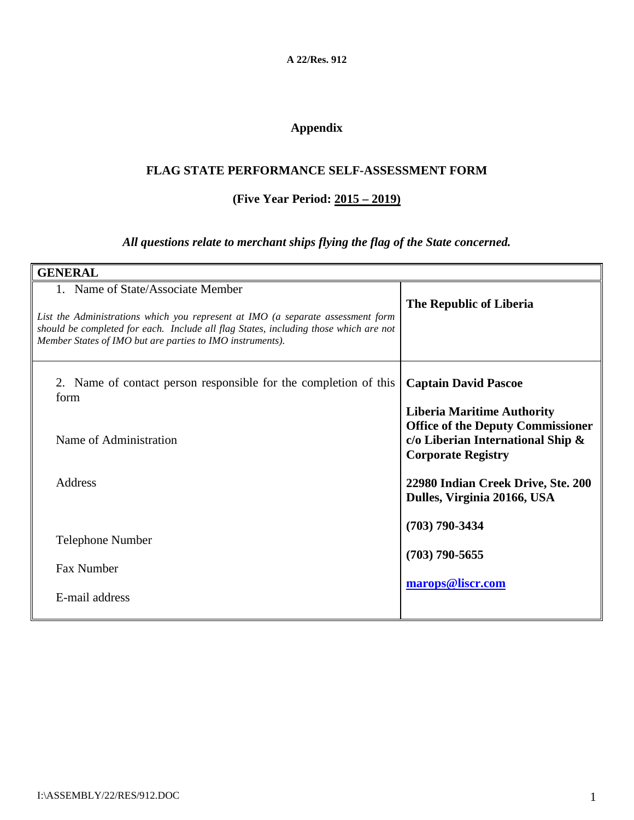**A 22/Res. 912**

# **Appendix**

#### **FLAG STATE PERFORMANCE SELF-ASSESSMENT FORM**

#### **(Five Year Period: 2015 – 2019)**

### *All questions relate to merchant ships flying the flag of the State concerned.*

| <b>GENERAL</b>                                                                                                                                                                                                                                                            |                                                                                                                                                 |
|---------------------------------------------------------------------------------------------------------------------------------------------------------------------------------------------------------------------------------------------------------------------------|-------------------------------------------------------------------------------------------------------------------------------------------------|
| 1. Name of State/Associate Member<br>List the Administrations which you represent at IMO (a separate assessment form<br>should be completed for each. Include all flag States, including those which are not<br>Member States of IMO but are parties to IMO instruments). | The Republic of Liberia                                                                                                                         |
| 2. Name of contact person responsible for the completion of this<br>form                                                                                                                                                                                                  | <b>Captain David Pascoe</b>                                                                                                                     |
| Name of Administration                                                                                                                                                                                                                                                    | <b>Liberia Maritime Authority</b><br><b>Office of the Deputy Commissioner</b><br>c/o Liberian International Ship &<br><b>Corporate Registry</b> |
| Address                                                                                                                                                                                                                                                                   | 22980 Indian Creek Drive, Ste. 200<br>Dulles, Virginia 20166, USA                                                                               |
| <b>Telephone Number</b><br>Fax Number<br>E-mail address                                                                                                                                                                                                                   | $(703)$ 790-3434<br>$(703)$ 790-5655<br>marops@liscr.com                                                                                        |
|                                                                                                                                                                                                                                                                           |                                                                                                                                                 |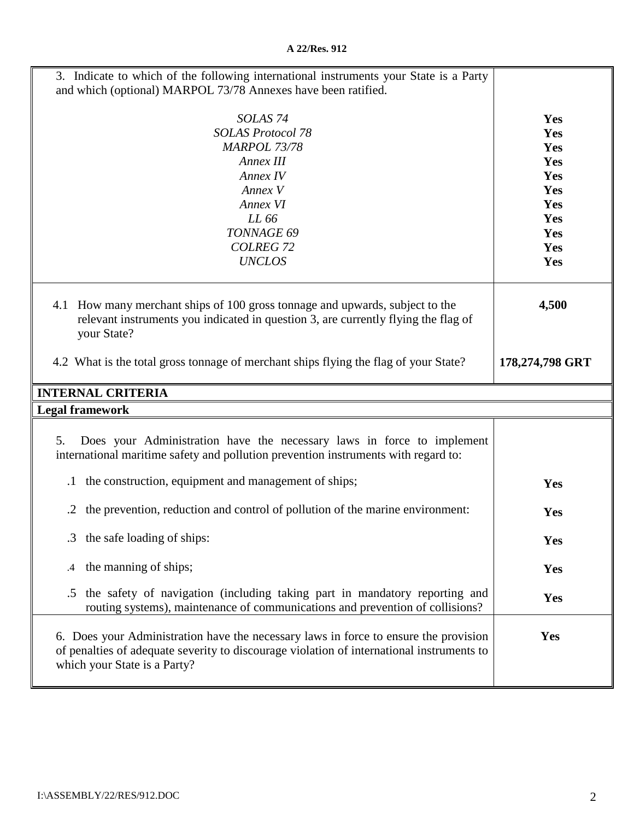| 3. Indicate to which of the following international instruments your State is a Party<br>and which (optional) MARPOL 73/78 Annexes have been ratified.                             |                                                                           |
|------------------------------------------------------------------------------------------------------------------------------------------------------------------------------------|---------------------------------------------------------------------------|
| SOLAS <sub>74</sub><br><b>SOLAS Protocol 78</b><br><b>MARPOL 73/78</b><br>Annex III<br>Annex IV<br>Annex V<br>Annex VI<br>LL 66<br>TONNAGE 69<br><b>COLREG 72</b><br><b>UNCLOS</b> | Yes<br>Yes<br>Yes<br>Yes<br>Yes<br>Yes<br>Yes<br>Yes<br>Yes<br>Yes<br>Yes |
| 4.1 How many merchant ships of 100 gross tonnage and upwards, subject to the<br>relevant instruments you indicated in question 3, are currently flying the flag of<br>your State?  | 4,500                                                                     |
| 4.2 What is the total gross tonnage of merchant ships flying the flag of your State?                                                                                               | 178,274,798 GRT                                                           |
|                                                                                                                                                                                    |                                                                           |
| <b>INTERNAL CRITERIA</b>                                                                                                                                                           |                                                                           |
| <b>Legal framework</b>                                                                                                                                                             |                                                                           |
| Does your Administration have the necessary laws in force to implement<br>5.<br>international maritime safety and pollution prevention instruments with regard to:                 |                                                                           |
| the construction, equipment and management of ships;<br>$\cdot$                                                                                                                    | Yes                                                                       |
| the prevention, reduction and control of pollution of the marine environment:                                                                                                      | Yes                                                                       |
| .3 the safe loading of ships:                                                                                                                                                      | Yes                                                                       |
| the manning of ships;<br>.4                                                                                                                                                        | Yes                                                                       |
| the safety of navigation (including taking part in mandatory reporting and<br>.5<br>routing systems), maintenance of communications and prevention of collisions?                  | Yes                                                                       |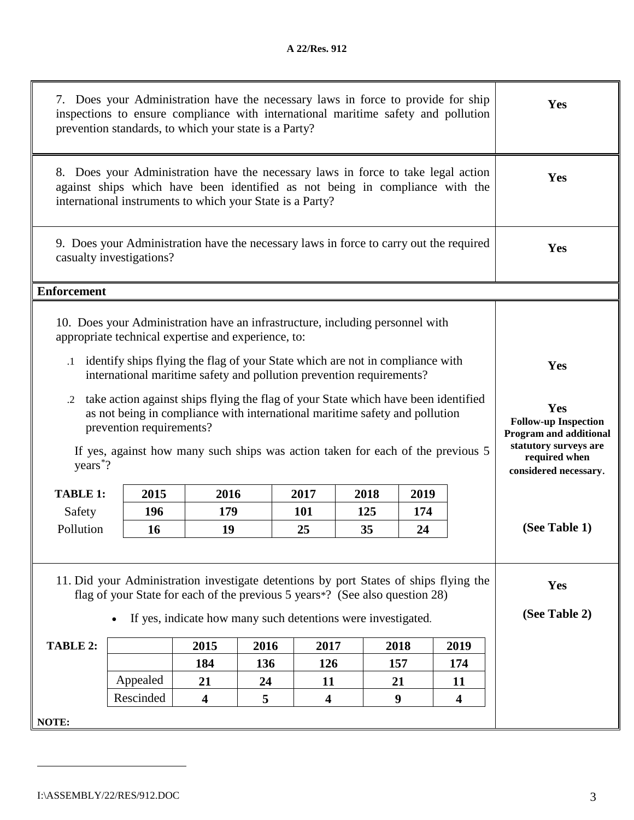| 7. Does your Administration have the necessary laws in force to provide for ship<br>inspections to ensure compliance with international maritime safety and pollution<br>prevention standards, to which your state is a Party?                                                                                | Yes                                                                                                                                                      |                         |     |                         |      |                  |                         |                      |
|---------------------------------------------------------------------------------------------------------------------------------------------------------------------------------------------------------------------------------------------------------------------------------------------------------------|----------------------------------------------------------------------------------------------------------------------------------------------------------|-------------------------|-----|-------------------------|------|------------------|-------------------------|----------------------|
| 8. Does your Administration have the necessary laws in force to take legal action<br>against ships which have been identified as not being in compliance with the<br>international instruments to which your State is a Party?                                                                                | Yes                                                                                                                                                      |                         |     |                         |      |                  |                         |                      |
|                                                                                                                                                                                                                                                                                                               | 9. Does your Administration have the necessary laws in force to carry out the required<br>casualty investigations?                                       |                         |     |                         |      |                  |                         | Yes                  |
| <b>Enforcement</b>                                                                                                                                                                                                                                                                                            |                                                                                                                                                          |                         |     |                         |      |                  |                         |                      |
|                                                                                                                                                                                                                                                                                                               | 10. Does your Administration have an infrastructure, including personnel with<br>appropriate technical expertise and experience, to:                     |                         |     |                         |      |                  |                         |                      |
|                                                                                                                                                                                                                                                                                                               | .1 identify ships flying the flag of your State which are not in compliance with<br>international maritime safety and pollution prevention requirements? |                         |     |                         |      |                  |                         | Yes                  |
| take action against ships flying the flag of your State which have been identified<br>.2<br>as not being in compliance with international maritime safety and pollution<br>prevention requirements?<br>If yes, against how many such ships was action taken for each of the previous 5<br>years <sup>*?</sup> | Yes<br><b>Follow-up Inspection</b><br><b>Program and additional</b><br>statutory surveys are<br>required when<br>considered necessary.                   |                         |     |                         |      |                  |                         |                      |
| <b>TABLE 1:</b>                                                                                                                                                                                                                                                                                               | 2015                                                                                                                                                     | 2016                    |     | 2017                    | 2018 | 2019             |                         |                      |
| Safety                                                                                                                                                                                                                                                                                                        | 196                                                                                                                                                      | 179                     |     | <b>101</b>              | 125  | 174              |                         |                      |
| Pollution<br>16<br>19<br>25<br>35<br>24                                                                                                                                                                                                                                                                       |                                                                                                                                                          |                         |     |                         |      |                  |                         | (See Table 1)        |
| 11. Did your Administration investigate detentions by port States of ships flying the<br>flag of your State for each of the previous 5 years*? (See also question 28)<br>If yes, indicate how many such detentions were investigated.                                                                         |                                                                                                                                                          |                         |     |                         |      |                  |                         | Yes<br>(See Table 2) |
| TABLE 2:                                                                                                                                                                                                                                                                                                      | 2015<br>2016<br>2017<br>2018<br>2019                                                                                                                     |                         |     |                         |      |                  |                         |                      |
|                                                                                                                                                                                                                                                                                                               |                                                                                                                                                          | 184                     | 136 | 126                     |      | 157              | 174                     |                      |
|                                                                                                                                                                                                                                                                                                               | Appealed                                                                                                                                                 | 21                      | 24  | 11                      |      | 21               | 11                      |                      |
|                                                                                                                                                                                                                                                                                                               | Rescinded                                                                                                                                                | $\overline{\mathbf{4}}$ | 5   | $\overline{\mathbf{4}}$ |      | $\boldsymbol{9}$ | $\overline{\mathbf{4}}$ |                      |
| NOTE:                                                                                                                                                                                                                                                                                                         |                                                                                                                                                          |                         |     |                         |      |                  |                         |                      |

<span id="page-2-0"></span> $\overline{a}$ 

II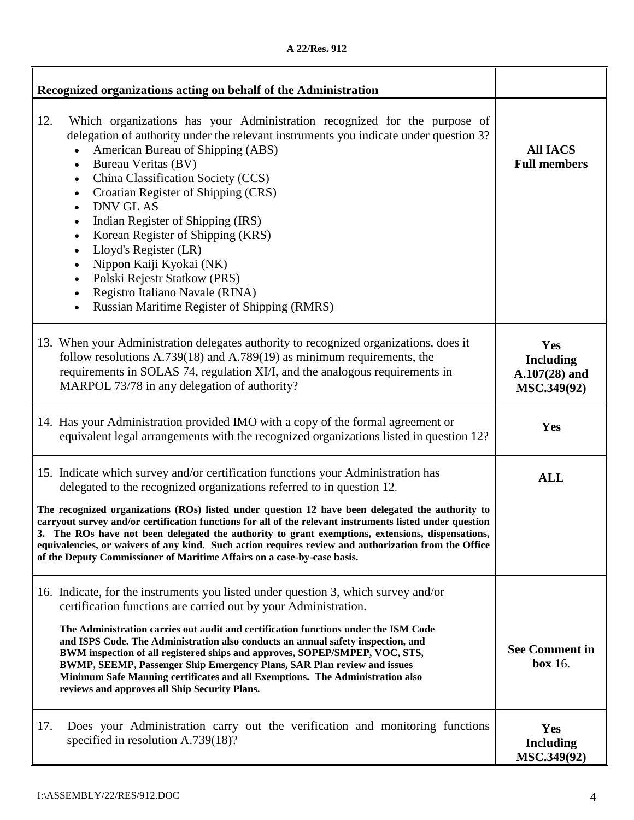|  |  | A 22/Res. 912 |  |
|--|--|---------------|--|
|--|--|---------------|--|

| Recognized organizations acting on behalf of the Administration                                                                                                                                                                                                                                                                                                                                                                                                                                                                                                                                                                                                                            |                                                           |
|--------------------------------------------------------------------------------------------------------------------------------------------------------------------------------------------------------------------------------------------------------------------------------------------------------------------------------------------------------------------------------------------------------------------------------------------------------------------------------------------------------------------------------------------------------------------------------------------------------------------------------------------------------------------------------------------|-----------------------------------------------------------|
| 12.<br>Which organizations has your Administration recognized for the purpose of<br>delegation of authority under the relevant instruments you indicate under question 3?<br>American Bureau of Shipping (ABS)<br><b>Bureau Veritas (BV)</b><br>$\bullet$<br>China Classification Society (CCS)<br>$\bullet$<br>Croatian Register of Shipping (CRS)<br>$\bullet$<br><b>DNV GL AS</b><br>$\bullet$<br>Indian Register of Shipping (IRS)<br>Korean Register of Shipping (KRS)<br>$\bullet$<br>Lloyd's Register (LR)<br>$\bullet$<br>Nippon Kaiji Kyokai (NK)<br>$\bullet$<br>Polski Rejestr Statkow (PRS)<br>Registro Italiano Navale (RINA)<br>Russian Maritime Register of Shipping (RMRS) | <b>All IACS</b><br><b>Full members</b>                    |
| 13. When your Administration delegates authority to recognized organizations, does it<br>follow resolutions $A.739(18)$ and $A.789(19)$ as minimum requirements, the<br>requirements in SOLAS 74, regulation XI/I, and the analogous requirements in<br>MARPOL 73/78 in any delegation of authority?                                                                                                                                                                                                                                                                                                                                                                                       | Yes<br><b>Including</b><br>$A.107(28)$ and<br>MSC.349(92) |
| 14. Has your Administration provided IMO with a copy of the formal agreement or<br>equivalent legal arrangements with the recognized organizations listed in question 12?                                                                                                                                                                                                                                                                                                                                                                                                                                                                                                                  | Yes                                                       |
| 15. Indicate which survey and/or certification functions your Administration has<br>delegated to the recognized organizations referred to in question 12.                                                                                                                                                                                                                                                                                                                                                                                                                                                                                                                                  | <b>ALL</b>                                                |
| The recognized organizations (ROs) listed under question 12 have been delegated the authority to<br>carryout survey and/or certification functions for all of the relevant instruments listed under question<br>3. The ROs have not been delegated the authority to grant exemptions, extensions, dispensations,<br>equivalencies, or waivers of any kind. Such action requires review and authorization from the Office<br>of the Deputy Commissioner of Maritime Affairs on a case-by-case basis.                                                                                                                                                                                        |                                                           |
| 16. Indicate, for the instruments you listed under question 3, which survey and/or<br>certification functions are carried out by your Administration.<br>The Administration carries out audit and certification functions under the ISM Code<br>and ISPS Code. The Administration also conducts an annual safety inspection, and<br>BWM inspection of all registered ships and approves, SOPEP/SMPEP, VOC, STS,<br>BWMP, SEEMP, Passenger Ship Emergency Plans, SAR Plan review and issues<br>Minimum Safe Manning certificates and all Exemptions. The Administration also<br>reviews and approves all Ship Security Plans.                                                               | <b>See Comment in</b><br>box 16.                          |
| Does your Administration carry out the verification and monitoring functions<br>17.<br>specified in resolution $A.739(18)$ ?                                                                                                                                                                                                                                                                                                                                                                                                                                                                                                                                                               | Yes<br><b>Including</b><br>MSC.349(92)                    |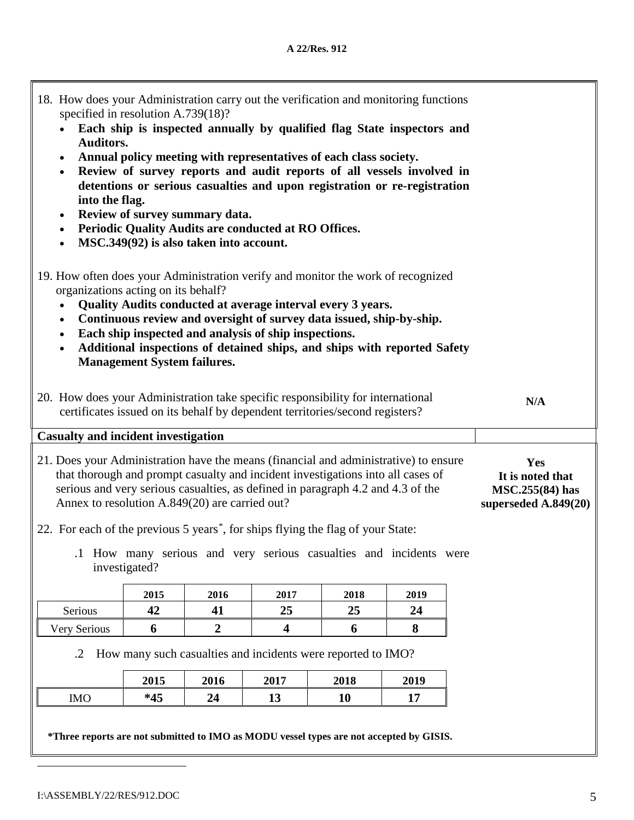| 18. How does your Administration carry out the verification and monitoring functions<br>specified in resolution A.739(18)?<br>Each ship is inspected annually by qualified flag State inspectors and<br><b>Auditors.</b><br>Annual policy meeting with representatives of each class society.<br>$\bullet$<br>Review of survey reports and audit reports of all vessels involved in<br>$\bullet$<br>detentions or serious casualties and upon registration or re-registration<br>into the flag.<br>Review of survey summary data.<br>$\bullet$<br>Periodic Quality Audits are conducted at RO Offices.<br>$\bullet$<br>MSC.349(92) is also taken into account.<br>$\bullet$<br>19. How often does your Administration verify and monitor the work of recognized<br>organizations acting on its behalf?<br>Quality Audits conducted at average interval every 3 years.<br>Continuous review and oversight of survey data issued, ship-by-ship.<br>$\bullet$<br>Each ship inspected and analysis of ship inspections.<br>$\bullet$<br>Additional inspections of detained ships, and ships with reported Safety<br><b>Management System failures.</b><br>20. How does your Administration take specific responsibility for international<br>N/A<br>certificates issued on its behalf by dependent territories/second registers? |                                                                    |      |      |      |      |  |  |  |
|------------------------------------------------------------------------------------------------------------------------------------------------------------------------------------------------------------------------------------------------------------------------------------------------------------------------------------------------------------------------------------------------------------------------------------------------------------------------------------------------------------------------------------------------------------------------------------------------------------------------------------------------------------------------------------------------------------------------------------------------------------------------------------------------------------------------------------------------------------------------------------------------------------------------------------------------------------------------------------------------------------------------------------------------------------------------------------------------------------------------------------------------------------------------------------------------------------------------------------------------------------------------------------------------------------------------------|--------------------------------------------------------------------|------|------|------|------|--|--|--|
| <b>Casualty and incident investigation</b>                                                                                                                                                                                                                                                                                                                                                                                                                                                                                                                                                                                                                                                                                                                                                                                                                                                                                                                                                                                                                                                                                                                                                                                                                                                                                   |                                                                    |      |      |      |      |  |  |  |
| 21. Does your Administration have the means (financial and administrative) to ensure<br>that thorough and prompt casualty and incident investigations into all cases of<br>serious and very serious casualties, as defined in paragraph 4.2 and 4.3 of the<br>Annex to resolution A.849(20) are carried out?                                                                                                                                                                                                                                                                                                                                                                                                                                                                                                                                                                                                                                                                                                                                                                                                                                                                                                                                                                                                                 | Yes<br>It is noted that<br>MSC.255(84) has<br>superseded A.849(20) |      |      |      |      |  |  |  |
| 22. For each of the previous 5 years <sup>*</sup> , for ships flying the flag of your State:<br>.1 How many serious and very serious casualties and incidents were<br>investigated?                                                                                                                                                                                                                                                                                                                                                                                                                                                                                                                                                                                                                                                                                                                                                                                                                                                                                                                                                                                                                                                                                                                                          |                                                                    |      |      |      |      |  |  |  |
|                                                                                                                                                                                                                                                                                                                                                                                                                                                                                                                                                                                                                                                                                                                                                                                                                                                                                                                                                                                                                                                                                                                                                                                                                                                                                                                              | 2015                                                               | 2016 | 2017 | 2018 | 2019 |  |  |  |
| Serious                                                                                                                                                                                                                                                                                                                                                                                                                                                                                                                                                                                                                                                                                                                                                                                                                                                                                                                                                                                                                                                                                                                                                                                                                                                                                                                      | 42                                                                 | 41   | 25   | 25   | 24   |  |  |  |
| <b>Very Serious</b>                                                                                                                                                                                                                                                                                                                                                                                                                                                                                                                                                                                                                                                                                                                                                                                                                                                                                                                                                                                                                                                                                                                                                                                                                                                                                                          |                                                                    |      |      |      |      |  |  |  |
| How many such casualties and incidents were reported to IMO?<br>$\cdot$ .2                                                                                                                                                                                                                                                                                                                                                                                                                                                                                                                                                                                                                                                                                                                                                                                                                                                                                                                                                                                                                                                                                                                                                                                                                                                   |                                                                    |      |      |      |      |  |  |  |
|                                                                                                                                                                                                                                                                                                                                                                                                                                                                                                                                                                                                                                                                                                                                                                                                                                                                                                                                                                                                                                                                                                                                                                                                                                                                                                                              |                                                                    |      |      |      |      |  |  |  |
| <b>IMO</b>                                                                                                                                                                                                                                                                                                                                                                                                                                                                                                                                                                                                                                                                                                                                                                                                                                                                                                                                                                                                                                                                                                                                                                                                                                                                                                                   | $*45$                                                              | 24   | 13   | 10   | 17   |  |  |  |
| *Three reports are not submitted to IMO as MODU vessel types are not accepted by GISIS.                                                                                                                                                                                                                                                                                                                                                                                                                                                                                                                                                                                                                                                                                                                                                                                                                                                                                                                                                                                                                                                                                                                                                                                                                                      |                                                                    |      |      |      |      |  |  |  |

<span id="page-4-0"></span> $\overline{a}$ 

7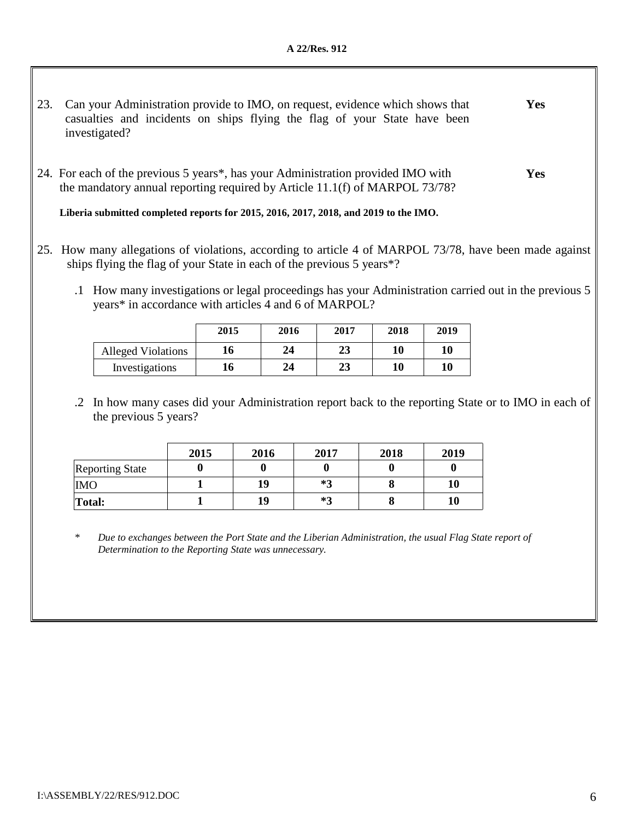- 23. Can your Administration provide to IMO, on request, evidence which shows that casualties and incidents on ships flying the flag of your State have been investigated? **Yes**
- 24. For each of the previous 5 years\*, has your Administration provided IMO with the mandatory annual reporting required by Article 11.1(f) of MARPOL 73/78? **Yes**

**Liberia submitted completed reports for 2015, 2016, 2017, 2018, and 2019 to the IMO.** 

- 25. How many allegations of violations, according to article 4 of MARPOL 73/78, have been made against ships flying the flag of your State in each of the previous 5 years\*?
	- .1 How many investigations or legal proceedings has your Administration carried out in the previous 5 years\* in accordance with articles 4 and 6 of MARPOL?

|                           | 2015 | 2016 | 2017 | 2018 | 2019 |
|---------------------------|------|------|------|------|------|
| <b>Alleged Violations</b> | 16   | 24   | 23   | 10   | 10   |
| Investigations            | 16   | 24   | 23   | 10   | 10   |

.2 In how many cases did your Administration report back to the reporting State or to IMO in each of the previous 5 years?

|                        | 2015 | 2016 | 2017 | 2018 | 2019 |
|------------------------|------|------|------|------|------|
| <b>Reporting State</b> |      |      |      |      |      |
| <b>IMO</b>             |      | 19   | *3   |      | 10   |
| <b>Total:</b>          |      | 19   | $*3$ |      | 10   |

*\* Due to exchanges between the Port State and the Liberian Administration, the usual Flag State report of Determination to the Reporting State was unnecessary.*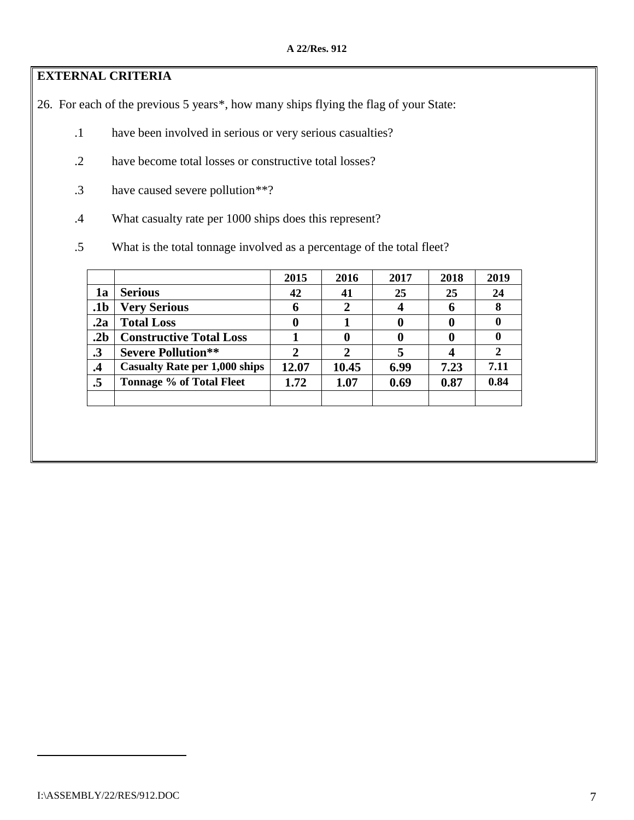## **EXTERNAL CRITERIA**

26. For each of the previous 5 years[\\*](#page-6-0), how many ships flying the flag of your State:

- .1 have been involved in serious or very serious casualties?
- .2 have become total losses or constructive total losses?
- .3 have caused severe pollution[\\*\\*?](#page-6-1)
- .4 What casualty rate per 1000 ships does this represent?
- .5 What is the total tonnage involved as a percentage of the total fleet?

|                 |                                      | 2015  | 2016        | 2017 | 2018 | 2019 |
|-----------------|--------------------------------------|-------|-------------|------|------|------|
| 1a              | <b>Serious</b>                       | 42    | 41          | 25   | 25   | 24   |
| .1b             | <b>Very Serious</b>                  | 6     | $\mathbf 2$ |      | h    | 8    |
| .2a             | <b>Total Loss</b>                    | 0     |             |      |      | u    |
| .2 <sub>b</sub> | <b>Constructive Total Loss</b>       |       |             |      |      | U    |
| $\cdot$ 3       | <b>Severe Pollution**</b>            |       |             |      |      |      |
| $\cdot$         | <b>Casualty Rate per 1,000 ships</b> | 12.07 | 10.45       | 6.99 | 7.23 | 7.11 |
| .5              | <b>Tonnage % of Total Fleet</b>      | 1.72  | 1.07        | 0.69 | 0.87 | 0.84 |
|                 |                                      |       |             |      |      |      |

<span id="page-6-1"></span><span id="page-6-0"></span> $\overline{a}$